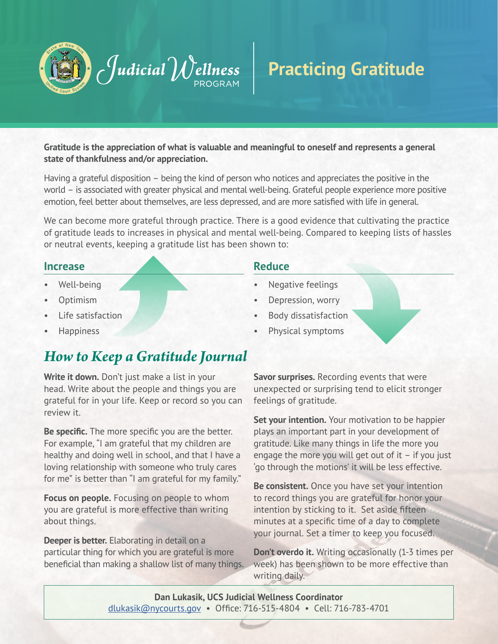

## **Practicing Gratitude**

**Gratitude is the appreciation of what is valuable and meaningful to oneself and represents a general state of thankfulness and/or appreciation.** 

Having a grateful disposition – being the kind of person who notices and appreciates the positive in the world – is associated with greater physical and mental well-being. Grateful people experience more positive emotion, feel better about themselves, are less depressed, and are more satisfied with life in general.

We can become more grateful through practice. There is a good evidence that cultivating the practice of gratitude leads to increases in physical and mental well-being. Compared to keeping lists of hassles or neutral events, keeping a gratitude list has been shown to:

#### **Increase**

- Well-being
- Optimism
- Life satisfaction
- **Happiness**

### *How to Keep a Gratitude Journal*

**Write it down.** Don't just make a list in your head. Write about the people and things you are grateful for in your life. Keep or record so you can review it.

**Be specific.** The more specific you are the better. For example, "I am grateful that my children are healthy and doing well in school, and that I have a loving relationship with someone who truly cares for me" is better than "I am grateful for my family."

**Focus on people.** Focusing on people to whom you are grateful is more effective than writing about things.

**Deeper is better.** Elaborating in detail on a particular thing for which you are grateful is more beneficial than making a shallow list of many things.

#### **Reduce**

- Negative feelings
- Depression, worry
- Body dissatisfaction
- Physical symptoms

**Savor surprises.** Recording events that were unexpected or surprising tend to elicit stronger feelings of gratitude.

**Set your intention.** Your motivation to be happier plays an important part in your development of gratitude. Like many things in life the more you engage the more you will get out of it – if you just 'go through the motions' it will be less effective.

**Be consistent.** Once you have set your intention to record things you are grateful for honor your intention by sticking to it. Set aside fifteen minutes at a specific time of a day to complete your journal. Set a timer to keep you focused.

**Don't overdo it.** Writing occasionally (1-3 times per week) has been shown to be more effective than writing daily.